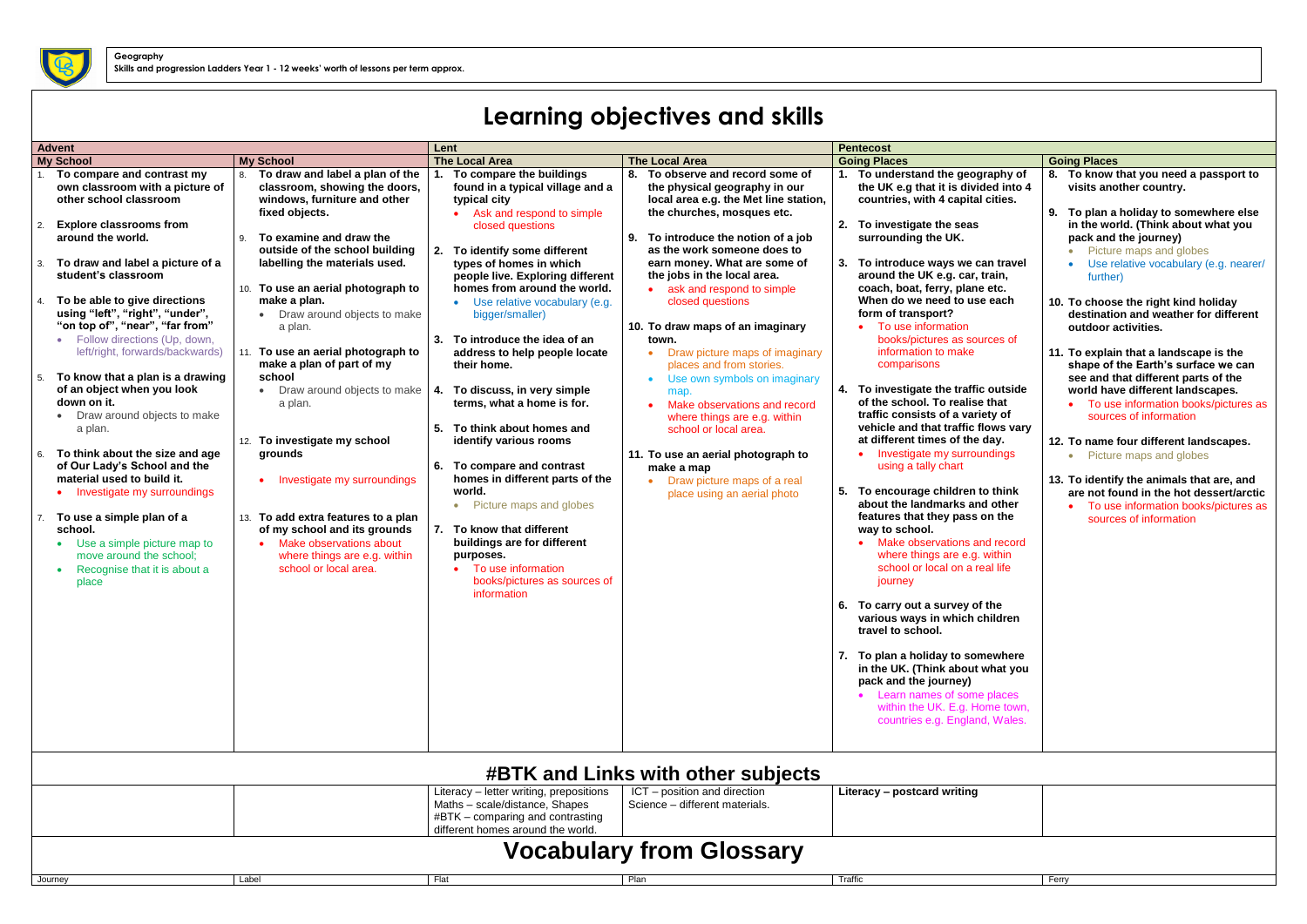## **Learning objectives and skills**

| <b>Advent</b><br><b>Pentecost</b><br>Lent |                                                                                                                                                                                                                                                                                                                                                                                                                                                                                                                                                                                                                                                                                                                                                                                                 |                                                                                                                                                                                                                                                                                                                                                                                                                                                                                                                                                                                                                                                                                               |                                                                                                                                                                                                                                                                                                                                                                                                                                                                                                                                                                                                                                                                                                                                                                                                          |                                                                                                                                                                                                                                                                                                                                                                                                                                                                                                                                                                                                                                                                                                                                       |                                                                                                                                                                                                                                                                                                                                                                                                                                                                                                                                                                                                                                                                                                                                                                                                                                                                                                                                                                                                                                                                                                                                                                                                                       |                                                                                                                                                                                                                                                                                                                                                                                                                                                                                                                                                                                                                                                                                                                                                                                                                                     |
|-------------------------------------------|-------------------------------------------------------------------------------------------------------------------------------------------------------------------------------------------------------------------------------------------------------------------------------------------------------------------------------------------------------------------------------------------------------------------------------------------------------------------------------------------------------------------------------------------------------------------------------------------------------------------------------------------------------------------------------------------------------------------------------------------------------------------------------------------------|-----------------------------------------------------------------------------------------------------------------------------------------------------------------------------------------------------------------------------------------------------------------------------------------------------------------------------------------------------------------------------------------------------------------------------------------------------------------------------------------------------------------------------------------------------------------------------------------------------------------------------------------------------------------------------------------------|----------------------------------------------------------------------------------------------------------------------------------------------------------------------------------------------------------------------------------------------------------------------------------------------------------------------------------------------------------------------------------------------------------------------------------------------------------------------------------------------------------------------------------------------------------------------------------------------------------------------------------------------------------------------------------------------------------------------------------------------------------------------------------------------------------|---------------------------------------------------------------------------------------------------------------------------------------------------------------------------------------------------------------------------------------------------------------------------------------------------------------------------------------------------------------------------------------------------------------------------------------------------------------------------------------------------------------------------------------------------------------------------------------------------------------------------------------------------------------------------------------------------------------------------------------|-----------------------------------------------------------------------------------------------------------------------------------------------------------------------------------------------------------------------------------------------------------------------------------------------------------------------------------------------------------------------------------------------------------------------------------------------------------------------------------------------------------------------------------------------------------------------------------------------------------------------------------------------------------------------------------------------------------------------------------------------------------------------------------------------------------------------------------------------------------------------------------------------------------------------------------------------------------------------------------------------------------------------------------------------------------------------------------------------------------------------------------------------------------------------------------------------------------------------|-------------------------------------------------------------------------------------------------------------------------------------------------------------------------------------------------------------------------------------------------------------------------------------------------------------------------------------------------------------------------------------------------------------------------------------------------------------------------------------------------------------------------------------------------------------------------------------------------------------------------------------------------------------------------------------------------------------------------------------------------------------------------------------------------------------------------------------|
|                                           | <b>My School</b>                                                                                                                                                                                                                                                                                                                                                                                                                                                                                                                                                                                                                                                                                                                                                                                | <b>My School</b>                                                                                                                                                                                                                                                                                                                                                                                                                                                                                                                                                                                                                                                                              | <b>The Local Area</b>                                                                                                                                                                                                                                                                                                                                                                                                                                                                                                                                                                                                                                                                                                                                                                                    | <b>The Local Area</b>                                                                                                                                                                                                                                                                                                                                                                                                                                                                                                                                                                                                                                                                                                                 | <b>Going Places</b>                                                                                                                                                                                                                                                                                                                                                                                                                                                                                                                                                                                                                                                                                                                                                                                                                                                                                                                                                                                                                                                                                                                                                                                                   | <b>Going Places</b>                                                                                                                                                                                                                                                                                                                                                                                                                                                                                                                                                                                                                                                                                                                                                                                                                 |
| 3.<br>5.<br>6.                            | To compare and contrast my<br>own classroom with a picture of<br>other school classroom<br><b>Explore classrooms from</b><br>around the world.<br>To draw and label a picture of a<br>student's classroom<br>To be able to give directions<br>using "left", "right", "under",<br>"on top of", "near", "far from"<br>• Follow directions (Up, down,<br>left/right, forwards/backwards)<br>To know that a plan is a drawing<br>of an object when you look<br>down on it.<br>• Draw around objects to make<br>a plan.<br>To think about the size and age<br>of Our Lady's School and the<br>material used to build it.<br>• Investigate my surroundings<br>To use a simple plan of a<br>school.<br>Use a simple picture map to<br>move around the school;<br>Recognise that it is about a<br>place | To draw and label a plan of the<br>8.<br>classroom, showing the doors,<br>windows, furniture and other<br>fixed objects.<br>To examine and draw the<br>outside of the school building<br>labelling the materials used.<br>10. To use an aerial photograph to<br>make a plan.<br>• Draw around objects to make<br>a plan.<br>To use an aerial photograph to<br>make a plan of part of my<br>school<br>Draw around objects to make<br>$\bullet$<br>a plan.<br>12. To investigate my school<br>grounds<br>Investigate my surroundings<br>13. To add extra features to a plan<br>of my school and its grounds<br>Make observations about<br>where things are e.g. within<br>school or local area. | To compare the buildings<br>found in a typical village and a<br>typical city<br>Ask and respond to simple<br>closed questions<br>To identify some different<br>2.<br>types of homes in which<br>people live. Exploring different<br>homes from around the world.<br>Use relative vocabulary (e.g.<br>bigger/smaller)<br>3. To introduce the idea of an<br>address to help people locate<br>their home.<br>4. To discuss, in very simple<br>terms, what a home is for.<br>5.<br>To think about homes and<br>identify various rooms<br>6.<br>To compare and contrast<br>homes in different parts of the<br>world.<br>Picture maps and globes<br>$\bullet$<br>7.<br>To know that different<br>buildings are for different<br>purposes.<br>To use information<br>books/pictures as sources of<br>information | 8. To observe and record some of<br>the physical geography in our<br>local area e.g. the Met line station,<br>the churches, mosques etc.<br>9. To introduce the notion of a job<br>as the work someone does to<br>earn money. What are some of<br>the jobs in the local area.<br>• ask and respond to simple<br>closed questions<br>10. To draw maps of an imaginary<br>town.<br>Draw picture maps of imaginary<br>$\bullet$<br>places and from stories.<br>Use own symbols on imaginary<br>$\bullet$<br>map.<br>Make observations and record<br>where things are e.g. within<br>school or local area.<br>11. To use an aerial photograph to<br>make a map<br>Draw picture maps of a real<br>$\bullet$<br>place using an aerial photo | 1. To understand the geography of<br>the UK e.g that it is divided into 4<br>countries, with 4 capital cities.<br>2. To investigate the seas<br>surrounding the UK.<br>3. To introduce ways we can travel<br>around the UK e.g. car, train,<br>coach, boat, ferry, plane etc.<br>When do we need to use each<br>form of transport?<br>• To use information<br>books/pictures as sources of<br>information to make<br>comparisons<br>4. To investigate the traffic outside<br>of the school. To realise that<br>traffic consists of a variety of<br>vehicle and that traffic flows vary<br>at different times of the day.<br>Investigate my surroundings<br>using a tally chart<br>5. To encourage children to think<br>about the landmarks and other<br>features that they pass on the<br>way to school.<br>Make observations and record<br>where things are e.g. within<br>school or local on a real life<br>journey<br>6. To carry out a survey of the<br>various ways in which children<br>travel to school.<br>7. To plan a holiday to somewhere<br>in the UK. (Think about what you<br>pack and the journey)<br>• Learn names of some places<br>within the UK. E.g. Home town,<br>countries e.g. England, Wales. | To know that you need a passport to<br>8.<br>visits another country.<br>9. To plan a holiday to somewhere else<br>in the world. (Think about what you<br>pack and the journey)<br>Picture maps and globes<br>Use relative vocabulary (e.g. nearer/<br>further)<br>10. To choose the right kind holiday<br>destination and weather for different<br>outdoor activities.<br>11. To explain that a landscape is the<br>shape of the Earth's surface we can<br>see and that different parts of the<br>world have different landscapes.<br>To use information books/pictures as<br>sources of information<br>12. To name four different landscapes.<br>Picture maps and globes<br>13. To identify the animals that are, and<br>are not found in the hot dessert/arctic<br>To use information books/pictures as<br>sources of information |
|                                           | <b>#BTK and Links with other subjects</b>                                                                                                                                                                                                                                                                                                                                                                                                                                                                                                                                                                                                                                                                                                                                                       |                                                                                                                                                                                                                                                                                                                                                                                                                                                                                                                                                                                                                                                                                               |                                                                                                                                                                                                                                                                                                                                                                                                                                                                                                                                                                                                                                                                                                                                                                                                          |                                                                                                                                                                                                                                                                                                                                                                                                                                                                                                                                                                                                                                                                                                                                       |                                                                                                                                                                                                                                                                                                                                                                                                                                                                                                                                                                                                                                                                                                                                                                                                                                                                                                                                                                                                                                                                                                                                                                                                                       |                                                                                                                                                                                                                                                                                                                                                                                                                                                                                                                                                                                                                                                                                                                                                                                                                                     |
|                                           |                                                                                                                                                                                                                                                                                                                                                                                                                                                                                                                                                                                                                                                                                                                                                                                                 |                                                                                                                                                                                                                                                                                                                                                                                                                                                                                                                                                                                                                                                                                               | Literacy - letter writing, prepositions<br>Maths - scale/distance, Shapes<br>#BTK – comparing and contrasting<br>different homes around the world.                                                                                                                                                                                                                                                                                                                                                                                                                                                                                                                                                                                                                                                       | ICT - position and direction<br>Science - different materials.                                                                                                                                                                                                                                                                                                                                                                                                                                                                                                                                                                                                                                                                        | Literacy - postcard writing                                                                                                                                                                                                                                                                                                                                                                                                                                                                                                                                                                                                                                                                                                                                                                                                                                                                                                                                                                                                                                                                                                                                                                                           |                                                                                                                                                                                                                                                                                                                                                                                                                                                                                                                                                                                                                                                                                                                                                                                                                                     |
|                                           | <b>Vocabulary from Glossary</b>                                                                                                                                                                                                                                                                                                                                                                                                                                                                                                                                                                                                                                                                                                                                                                 |                                                                                                                                                                                                                                                                                                                                                                                                                                                                                                                                                                                                                                                                                               |                                                                                                                                                                                                                                                                                                                                                                                                                                                                                                                                                                                                                                                                                                                                                                                                          |                                                                                                                                                                                                                                                                                                                                                                                                                                                                                                                                                                                                                                                                                                                                       |                                                                                                                                                                                                                                                                                                                                                                                                                                                                                                                                                                                                                                                                                                                                                                                                                                                                                                                                                                                                                                                                                                                                                                                                                       |                                                                                                                                                                                                                                                                                                                                                                                                                                                                                                                                                                                                                                                                                                                                                                                                                                     |
|                                           | Journey                                                                                                                                                                                                                                                                                                                                                                                                                                                                                                                                                                                                                                                                                                                                                                                         | Label                                                                                                                                                                                                                                                                                                                                                                                                                                                                                                                                                                                                                                                                                         | Flat                                                                                                                                                                                                                                                                                                                                                                                                                                                                                                                                                                                                                                                                                                                                                                                                     | Plan                                                                                                                                                                                                                                                                                                                                                                                                                                                                                                                                                                                                                                                                                                                                  | Traffic                                                                                                                                                                                                                                                                                                                                                                                                                                                                                                                                                                                                                                                                                                                                                                                                                                                                                                                                                                                                                                                                                                                                                                                                               | Ferry                                                                                                                                                                                                                                                                                                                                                                                                                                                                                                                                                                                                                                                                                                                                                                                                                               |